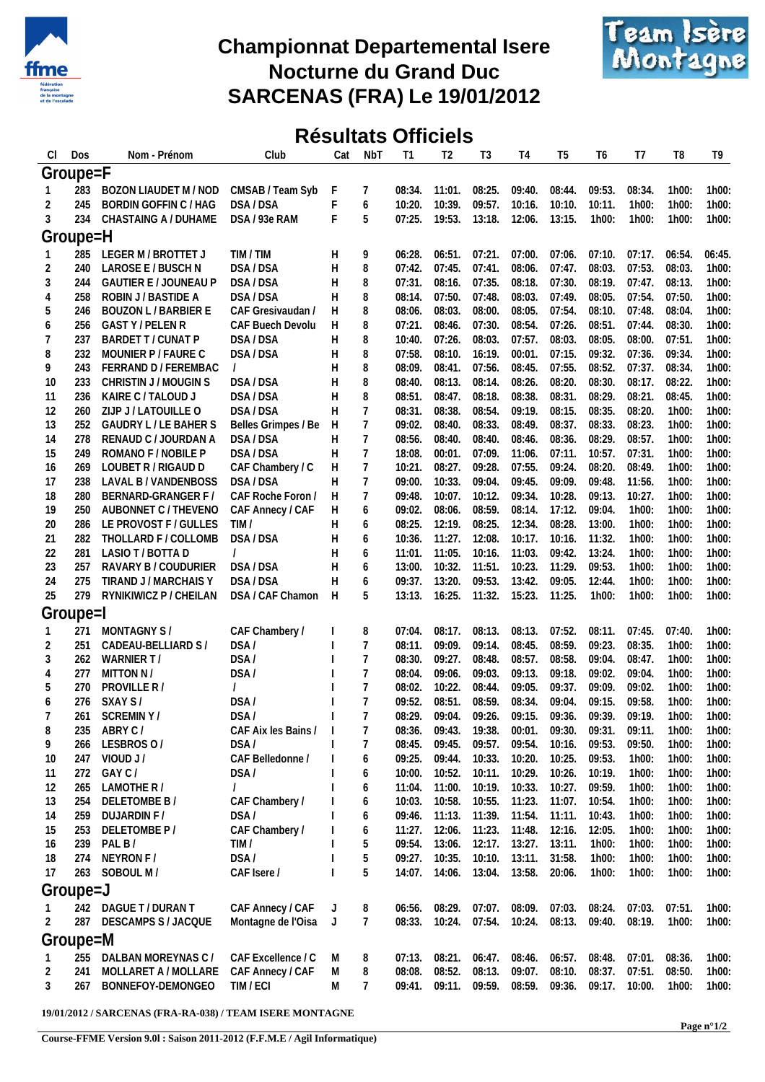

## **Championnat Departemental Isere<br>Norturne du Grand Duce Montagne Nocturne du Grand Duc SARCENAS (FRA) Le 19/01/2012**



## **Résultats Officiels**

| CI.       | Dos        | Nom - Prénom                | Club                        | Cat          | NbT            | T1               | T <sub>2</sub>    | T <sub>3</sub>   | T4               | T <sub>5</sub>   | T6               | T7               | T8              | T9              |  |
|-----------|------------|-----------------------------|-----------------------------|--------------|----------------|------------------|-------------------|------------------|------------------|------------------|------------------|------------------|-----------------|-----------------|--|
|           | Groupe=F   |                             |                             |              |                |                  |                   |                  |                  |                  |                  |                  |                 |                 |  |
|           | 283        | BOZON LIAUDET M / NOD       | CMSAB / Team Syb            | F            | 7              |                  | $08:34.$ 11:01.   | 08:25.           | 09:40.           | 08:44.           | 09:53.           | 08:34.           | 1h00:           | $1h00$ :        |  |
| 2         | 245        | BORDIN GOFFIN C / HAG       | DSA/DSA                     | F            | 6              | 10:20.           | 10:39.            | 09:57.           | 10:16.           | 10:10.           | 10:11.           | 1h00:            | 1h00:           | 1h00:           |  |
| 3         | 234        | CHASTAING A / DUHAME        | DSA / 93e RAM               | F            | 5              | 07:25.           | 19:53.            | 13:18.           | 12:06.           | 13:15.           | 1h00:            | 1h00:            | 1h00:           | 1h00:           |  |
|           | Groupe=H   |                             |                             |              |                |                  |                   |                  |                  |                  |                  |                  |                 |                 |  |
|           | 285        | LEGER M / BROTTET J         | TIM / TIM                   |              |                |                  | 06:51.            |                  |                  | 07:06.           |                  | 07:17.           |                 |                 |  |
| -1        | 240        | LAROSE E / BUSCH N          | DSA / DSA                   | H            | 9<br>8         | 06:28.<br>07:42. | 07:45.            | 07:21.<br>07:41. | 07:00.<br>08:06. | 07:47.           | 07:10.           | 07:53.           | 06:54.<br>08:03 | 06:45.<br>1h00: |  |
| 2<br>3    | 244        | GAUTIER E / JOUNEAU P       | DSA / DSA                   | H<br>H       | 8              | 07:31.           | 08:16.            | 07:35.           | 08:18.           | 07:30.           | 08:03.<br>08:19. | 07:47.           | 08:13           | 1h00:           |  |
|           | 258        | ROBIN J / BASTIDE A         | DSA/DSA                     | Н            | 8              | 08:14.           | 07:50.            | 07:48.           | 08:03.           | 07:49.           | 08:05.           | 07:54.           | 07:50.          | 1h00:           |  |
| 4<br>5    | 246        | <b>BOUZON L / BARBIER E</b> | CAF Gresivaudan /           | H            | 8              | 08:06.           | 08:03.            | 08:00.           | 08:05.           | 07:54.           | 08:10.           | 07:48.           | 08:04           | 1h00:           |  |
| 6         | 256        | <b>GAST Y/PELEN R</b>       | <b>CAF Buech Devolu</b>     | H            | 8              | 07:21.           | 08:46.            | 07:30.           | 08:54.           | 07:26.           | 08:51.           | 07:44.           | 08:30.          | 1h00:           |  |
| 7         | 237        | BARDET T / CUNAT P          | DSA / DSA                   | H            | 8              | 10:40.           | 07:26.            | 08:03.           | 07:57.           | 08:03.           | 08:05.           | 08:00.           | 07:51           | 1h00:           |  |
| 8         | 232        | MOUNIER P / FAURE C         | DSA / DSA                   | Н            | 8              | 07:58.           | 08:10.            | 16:19.           | 00:01.           | 07:15.           | 09:32.           | 07:36.           | 09:34           | 1h00:           |  |
| 9         | 243        | FERRAND D / FEREMBAC        |                             | Н            | 8              | 08:09.           | 08:41.            | 07:56.           | 08:45.           | 07:55.           | 08:52.           | 07:37.           | 08:34           | 1h00:           |  |
| 10        | 233        | CHRISTIN J / MOUGIN S       | DSA / DSA                   | H            | 8              | 08:40.           | 08:13.            | 08:14.           | 08:26.           | 08:20.           | 08:30.           | 08:17.           | 08:22           | 1h00:           |  |
| -11       | 236        | KAIRE C / TALOUD J          | DSA / DSA                   | Н            | 8              | 08:51.           | 08:47.            | 08:18.           | 08:38.           | 08:31.           | 08:29.           | 08:21.           | 08:45           | 1h00:           |  |
| 12        | 260        | ZIJP J / LATOUILLE O        | DSA/DSA                     | H            | 7              | 08:31.           | 08:38.            | 08:54.           | 09:19.           | 08:15.           | 08:35.           | 08:20.           | 1h00:           | 1h00:           |  |
| 13        | 252        | <b>GAUDRY L/LE BAHERS</b>   | Belles Grimpes / Be         | H            | 7              | 09:02.           | 08:40.            | 08:33.           | 08:49.           | 08:37.           | 08:33.           | 08:23.           | 1h00:           | 1h00:           |  |
| -14       | 278        | RENAUD C / JOURDAN A        | DSA/DSA                     | H            | $\overline{7}$ | 08:56.           | 08:40.            | 08:40.           | 08:46.           | 08:36.           | 08:29.           | 08:57.           | 1h00:           | 1h00:           |  |
| 15        | 249        | ROMANO F / NOBILE P         | DSA / DSA                   | $\mathsf{H}$ | $\overline{7}$ | 18:08.           | 00:01.            | 07:09.           | 11:06.           | 07:11.           | 10:57.           | 07:31.           | 1h00:           | 1h00:           |  |
| 16        | 269        | LOUBET R / RIGAUD D         | CAF Chambery / C            | H            | 7              | 10:21.           | 08:27.            | 09:28.           | 07:55.           | 09:24.           | 08:20.           | 08:49.           | 1h00:           | 1h00:           |  |
| 17        | 238        | LAVAL B / VANDENBOSS        | DSA/DSA                     | H            | 7              | 09:00.           | 10:33.            | 09:04.           | 09:45.           | 09:09.           | 09:48.           | 11:56.           | 1h00:           | 1h00:           |  |
| 18        | 280        | BERNARD-GRANGER F /         | CAF Roche Foron             | H            | 7              | 09:48.           | $10:07$ .         | 10:12.           | 09:34.           | 10:28.           | 09:13.           | 10:27.           | 1h00:           | 1h00:           |  |
| 19        | 250        | AUBONNET C / THEVENO        | CAF Annecy / CAF            | H            | 6              | 09:02.           | 08:06.            | 08:59.           | 08:14.           | 17:12.           | 09:04.           | 1h00:            | 1h00:           | 1h00:           |  |
| 20        | 286        | LE PROVOST F / GULLES       | TIM/                        | H            | 6              | 08:25.           | 12:19.            | 08:25.           | 12:34.           | 08:28.           | 13:00.           | 1h00:            | 1h00:           | 1h00:           |  |
| 21        | 282        | THOLLARD F / COLLOMB        | DSA / DSA                   | Н            | 6              | 10:36.           | 11:27.            | 12:08.           | 10:17.           | 10:16.           | 11:32.           | 1h00:            | 1h00:           | 1h00:           |  |
| 22        | 281        | LASIO T / BOTTA D           |                             | Н            | 6              | 11:01.           | 11:05.            | 10:16.           | 11:03.           | 09:42.           | 13:24.           | 1h00:            | 1h00:           | 1h00:           |  |
| 23        | 257        | RAVARY B / COUDURIER        | DSA / DSA                   | H            | 6              | 13:00.           | 10:32.            | 11:51.           | 10:23.           | 11:29.           | 09:53.           | 1h00:            | 1h00:           | 1h00:           |  |
| 24        | 275        | TIRAND J / MARCHAIS Y       | DSA/DSA                     | Н            | 6              | 09:37.           | 13:20.            | 09:53.           | 13:42.           | 09:05.           | 12:44            | 1h00:            | 1h00:           | 1h00:           |  |
| 25        | 279        | RYNIKIWICZ P / CHEILAN      | DSA / CAF Chamon            | H            | 5              | 13:13.           | 16:25.            | 11:32.           | 15:23.           | 11:25.           | $1h00$ :         | 1h00:            | 1h00:           | 1h00:           |  |
|           | Groupe=I   |                             |                             |              |                |                  |                   |                  |                  |                  |                  |                  |                 |                 |  |
|           |            |                             |                             |              |                |                  |                   |                  |                  |                  |                  |                  |                 |                 |  |
| 1         | 271        | MONTAGNY S/                 | CAF Chambery /              |              | 8              | 07:04.           | 08:17.            | 08:13.           | 08:13.           | 07:52.           | 08:11.           | 07:45.           | 07:40.          | 1h00:           |  |
| 2         | 251        | CADEAU-BELLIARD S /         | DSA/                        |              | 7              | 08:11.           | 09:09.            | 09:14.           | 08:45.           | 08:59.           | 09:23.           | 08:35.           | 1h00:           | 1h00:           |  |
| 3         | 262        | WARNIER T/                  | DSA/                        |              | $\overline{7}$ | 08:30.           | 09:27.            | 08:48.           | 08:57.           | 08:58.           | 09:04.           | 08:47.           | 1h00:           | 1h00:           |  |
| 4         | 277        | <b>MITTON N/</b>            | DSA/                        |              | $\overline{7}$ | 08:04.           | 09:06.            | 09:03.           | 09:13.           | 09:18.           | 09:02.           | 09:04.           | 1h00:           | 1h00:           |  |
| 5         | 270        | PROVILLE R/                 |                             |              | 7              | 08:02.           | 10:22.            | 08:44.           | 09:05.           | 09:37.           | 09:09.           | 09:02.           | 1h00:           | 1h00:           |  |
| 6         | 276        | SXAY S/                     | DSA/                        |              | 7              | 09:52.           | 08:51.            | 08:59.           | 08:34.           | 09:04.           | 09:15.           | 09:58.           | 1h00:           | 1h00:           |  |
| 7         | 261        | <b>SCREMINY/</b><br>ABRY C/ | DSA/                        |              | $\overline{7}$ | 08:29.           | 09:04.            | 09:26.           | 09:15.           | 09:36.           | 09:39.           | 09:19.           | 1h00:           | 1h00:           |  |
| 8         | 235        | LESBROS O/                  | CAF Aix les Bains /<br>DSA/ |              | 7<br>7         | 08:36.<br>08:45. | 09:43.            | 19:38.<br>09:57. | 00:01.<br>09:54. | 09:30.           | 09:31.<br>09:53. | 09:11.<br>09:50. | 1h00:           | 1h00:           |  |
| 9         | 266<br>247 | VIOUD J/                    |                             |              |                | 09:25.           | 09:45.<br>09:44.  | 10:33.           | 10:20.           | 10:16.           | 09:53.           | 1h00:            | 1h00:           | 1h00:<br>1h00:  |  |
| 10<br>-11 | 272        | GAY C/                      | CAF Belledonne /<br>DSA/    |              | 6              | 10:00.           | 10:52.            | 10:11.           | 10:29.           | 10:25.<br>10:26. | 10:19.           | 1h00:            | 1h00:<br>1h00:  | 1h00:           |  |
| 12        | 265        | LAMOTHE R /                 |                             |              | 6              |                  | 11:04. 11:00.     | 10:19.           | 10:33.           | 10:27.           | 09:59.           | 1h00:            | 1h00:           | 1h00:           |  |
| 13        | 254        | DELETOMBE B/                | CAF Chambery /              |              | 6<br>6         | 10:03.           | 10:58.            | 10:55.           | 11:23.           | 11:07.           | 10:54.           | 1h00:            | 1h00:           | 1h00:           |  |
| -14       | 259        | DUJARDIN F/                 | DSA/                        |              | 6              | 09:46.           | 11:13.            | 11:39.           | 11:54.           | 11:11.           | 10:43.           | 1h00:            | $1h00$ :        | 1h00:           |  |
| 15        | 253        | DELETOMBE P/                | CAF Chambery /              |              | 6              |                  | 11:27. 12:06.     | 11:23.           | 11:48.           | 12:16.           | 12:05            | 1h00:            | $1h00$ :        | 1h00:           |  |
| 16        | 239        | PAL B/                      | TIM/                        |              | 5              |                  | 09:54. 13:06.     | 12:17.           | 13:27.           | 13:11.           | $1h00$ :         | 1h00:            | $1h00$ :        | 1h00:           |  |
| 18        | 274        | NEYRON F/                   | DSA/                        |              | 5              | 09:27. 10:35.    |                   | 10:10.           | 13:11.           | 31:58.           | 1h00:            | 1h00:            | 1h00:           | 1h00:           |  |
| 17        | 263        | SOBOUL M/                   | CAF Isere /                 |              | 5              |                  | 14:07. 14:06.     | 13:04.           | 13:58.           | 20:06.           | 1h00:            | 1h00:            | 1h00:           | 1h00:           |  |
|           |            |                             |                             |              |                |                  |                   |                  |                  |                  |                  |                  |                 |                 |  |
|           | Groupe=J   |                             |                             |              |                |                  |                   |                  |                  |                  |                  |                  |                 |                 |  |
|           | 242        | DAGUE T / DURAN T           | CAF Annecy / CAF            | J            | 8              |                  | 06:56. 08:29.     | 07:07.           | 08:09. 07:03.    |                  | 08:24.           | 07:03.           | 07:51.          | 1h00:           |  |
| 2         | 287        | DESCAMPS S / JACQUE         | Montagne de l'Oisa          | J            | 7              | 08:33.           | 10:24.            | 07:54.           | 10:24. 08:13.    |                  | 09:40.           | 08:19.           | 1h00:           | 1h00:           |  |
|           | Groupe=M   |                             |                             |              |                |                  |                   |                  |                  |                  |                  |                  |                 |                 |  |
|           | 255        | DALBAN MOREYNAS C /         | CAF Excellence / C          | M            | 8              |                  | $07:13.$ $08:21.$ | 06:47.           | 08:46.           | 06:57.           | 08:48.           | 07:01.           | 08:36.          | 1h00:           |  |
| 2         | 241        | MOLLARET A / MOLLARE        | CAF Annecy / CAF            | M            | 8              | 08:08.           | 08:52.            | 08:13.           | 09:07.           | 08:10.           | 08:37.           | 07:51.           | 08:50.          | 1h00:           |  |
| 3         | 267        | BONNEFOY-DEMONGEO           | TIM / ECI                   | M            | 7              |                  | $09:41.$ 09:11.   | 09:59.           | 08:59.           | 09:36.           | 09:17.           | 10:00.           | $1h00$ :        | 1h00:           |  |
|           |            |                             |                             |              |                |                  |                   |                  |                  |                  |                  |                  |                 |                 |  |

**19/01/2012 / SARCENAS (FRA-RA-038) / TEAM ISERE MONTAGNE**